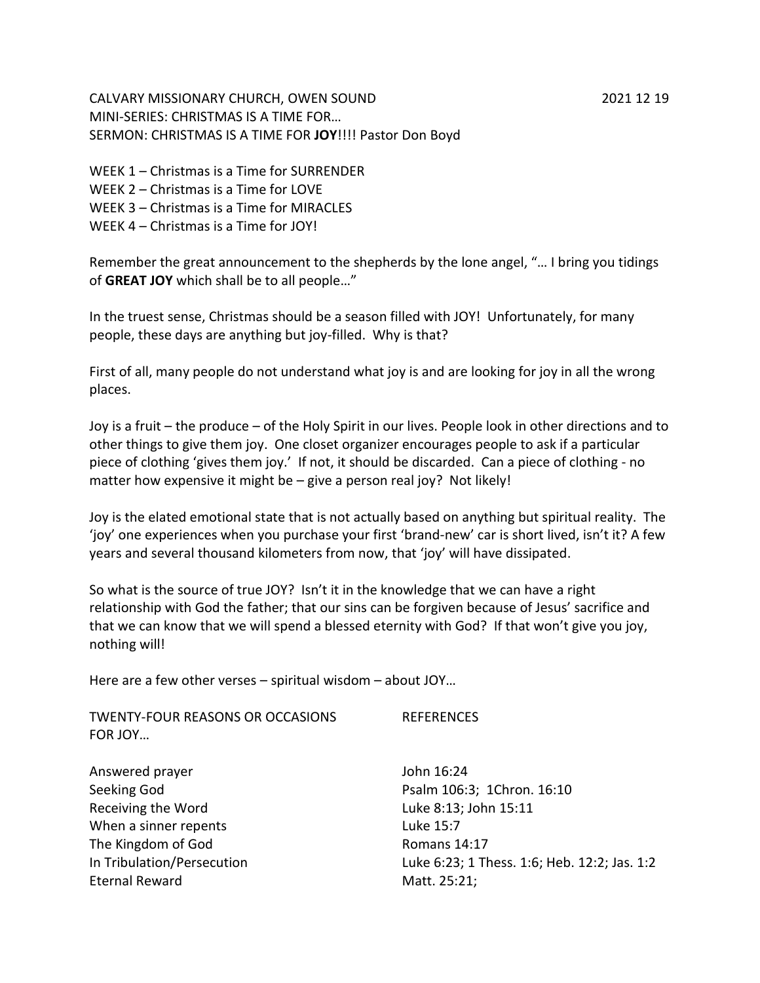CALVARY MISSIONARY CHURCH, OWEN SOUND 2021 12 19 MINI-SERIES: CHRISTMAS IS A TIME FOR… SERMON: CHRISTMAS IS A TIME FOR **JOY**!!!! Pastor Don Boyd

WEEK 1 – Christmas is a Time for SURRENDER WEEK 2 – Christmas is a Time for LOVE WEEK  $3 -$ Christmas is a Time for MIRACLES WEEK 4 – Christmas is a Time for JOY!

Remember the great announcement to the shepherds by the lone angel, "… I bring you tidings of **GREAT JOY** which shall be to all people…"

In the truest sense, Christmas should be a season filled with JOY! Unfortunately, for many people, these days are anything but joy-filled. Why is that?

First of all, many people do not understand what joy is and are looking for joy in all the wrong places.

Joy is a fruit – the produce – of the Holy Spirit in our lives. People look in other directions and to other things to give them joy. One closet organizer encourages people to ask if a particular piece of clothing 'gives them joy.' If not, it should be discarded. Can a piece of clothing - no matter how expensive it might be – give a person real joy? Not likely!

Joy is the elated emotional state that is not actually based on anything but spiritual reality. The 'joy' one experiences when you purchase your first 'brand-new' car is short lived, isn't it? A few years and several thousand kilometers from now, that 'joy' will have dissipated.

So what is the source of true JOY? Isn't it in the knowledge that we can have a right relationship with God the father; that our sins can be forgiven because of Jesus' sacrifice and that we can know that we will spend a blessed eternity with God? If that won't give you joy, nothing will!

Here are a few other verses – spiritual wisdom – about JOY…

| <b>REFERENCES</b>                            |
|----------------------------------------------|
|                                              |
| John 16:24                                   |
| Psalm 106:3; 1Chron. 16:10                   |
| Luke 8:13; John 15:11                        |
| Luke 15:7                                    |
| <b>Romans 14:17</b>                          |
| Luke 6:23; 1 Thess. 1:6; Heb. 12:2; Jas. 1:2 |
| Matt. 25:21;                                 |
|                                              |